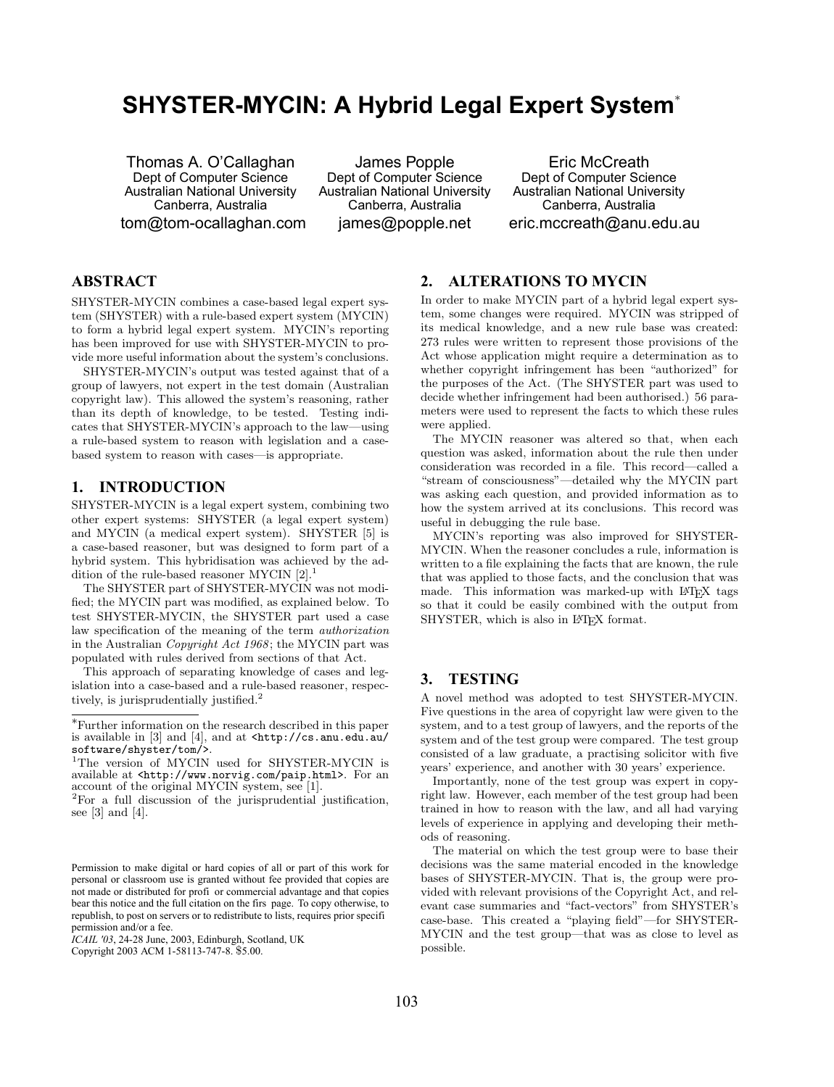# **SHYSTER-MYCIN: A Hybrid Legal Expert System**[∗](#page-0-2)

Thomas A. O'Callaghan Dept of Computer Science Australian National University Canberra, Australia [tom@tom-ocallaghan.com](mailto:tom@tom-ocallaghan.com)

James Popple Dept of Computer Science Australian National University Canberra, Australia [james@popple.net](mailto:james@popple.net)

Eric McCreath Dept of Computer Science Australian National University Canberra, Australia [eric.mccreath@anu.edu.au](mailto:eric.mccreath@anu.edu.au)

# **ABSTRACT**

SHYSTER-MYCIN combines a case-based legal expert system (SHYSTER) with a rule-based expert system (MYCIN) to form a hybrid legal expert system. MYCIN's reporting has been improved for use with SHYSTER-MYCIN to provide more useful information about the system's conclusions.

SHYSTER-MYCIN's output was tested against that of a group of lawyers, not expert in the test domain (Australian copyright law). This allowed the system's reasoning, rather than its depth of knowledge, to be tested. Testing indicates that SHYSTER-MYCIN's approach to the law—using a rule-based system to reason with legislation and a casebased system to reason with cases—is appropriate.

### **1. INTRODUCTION**

SHYSTER-MYCIN is a legal expert system, combining two other expert systems: SHYSTER (a legal expert system) and MYCIN (a medical expert system). SHYSTER [\[5\]](#page-1-0) is a case-based reasoner, but was designed to form part of a hybrid system. This hybridisation was achieved by the addition of the rule-based reasoner MYCIN  $[2].$  $[2].$ <sup>[1](#page-0-0)</sup>

The SHYSTER part of SHYSTER-MYCIN was not modified; the MYCIN part was modified, as explained below. To test SHYSTER-MYCIN, the SHYSTER part used a case law specification of the meaning of the term authorization in the Australian *Copyright Act 1968*; the MYCIN part was populated with rules derived from sections of that Act.

This approach of separating knowledge of cases and legislation into a case-based and a rule-based reasoner, respec-tively, is jurisprudentially justified.<sup>[2](#page-0-1)</sup>

# **2. ALTERATIONS TO MYCIN**

In order to make MYCIN part of a hybrid legal expert system, some changes were required. MYCIN was stripped of its medical knowledge, and a new rule base was created: 273 rules were written to represent those provisions of the Act whose application might require a determination as to whether copyright infringement has been "authorized" for the purposes of the Act. (The SHYSTER part was used to decide whether infringement had been authorised.) 56 parameters were used to represent the facts to which these rules were applied.

The MYCIN reasoner was altered so that, when each question was asked, information about the rule then under consideration was recorded in a file. This record—called a "stream of consciousness"—detailed why the MYCIN part was asking each question, and provided information as to how the system arrived at its conclusions. This record was useful in debugging the rule base.

MYCIN's reporting was also improved for SHYSTER-MYCIN. When the reasoner concludes a rule, information is written to a file explaining the facts that are known, the rule that was applied to those facts, and the conclusion that was made. This information was marked-up with LATEX tags so that it could be easily combined with the output from SHYSTER, which is also in L<sup>AT</sup>FX format.

# **3. TESTING**

A novel method was adopted to test SHYSTER-MYCIN. Five questions in the area of copyright law were given to the system, and to a test group of lawyers, and the reports of the system and of the test group were compared. The test group consisted of a law graduate, a practising solicitor with five years' experience, and another with 30 years' experience.

Importantly, none of the test group was expert in copyright law. However, each member of the test group had been trained in how to reason with the law, and all had varying levels of experience in applying and developing their methods of reasoning.

The material on which the test group were to base their decisions was the same material encoded in the knowledge bases of SHYSTER-MYCIN. That is, the group were provided with relevant provisions of the Copyright Act, and relevant case summaries and "fact-vectors" from SHYSTER's case-base. This created a "playing field"—for SHYSTER-MYCIN and the test group—that was as close to level as possible.

<span id="page-0-2"></span><sup>∗</sup>Further information on the research described in this paper is available in [\[3\]](#page-1-2) and [\[4\]](#page-1-3), and at [<http://cs.anu.edu.au/](http://cs.anu.edu.au/software/shyster/tom/) [software/shyster/tom/>](http://cs.anu.edu.au/software/shyster/tom/).

<span id="page-0-0"></span><sup>&</sup>lt;sup>1</sup>The version of MYCIN used for SHYSTER-MYCIN is available at [<http://www.norvig.com/paip.html>](http://www.norvig.com/paip.html). For an account of the original MYCIN system, see [\[1\]](#page-1-4).

<span id="page-0-1"></span><sup>2</sup>For a full discussion of the jurisprudential justification, see [\[3\]](#page-1-2) and [\[4\]](#page-1-3).

Permission to make digital or hard copies of all or part of this work for personal or classroom use is granted without fee provided that copies are not made or distributed for profi or commercial advantage and that copies bear this notice and the full citation on the firs page. To copy otherwise, to republish, to post on servers or to redistribute to lists, requires prior specifi permission and/or a fee.

*ICAIL '03*, 24-28 June, 2003, Edinburgh, Scotland, UK

Copyright 2003 ACM 1-58113-747-8. \$5.00.